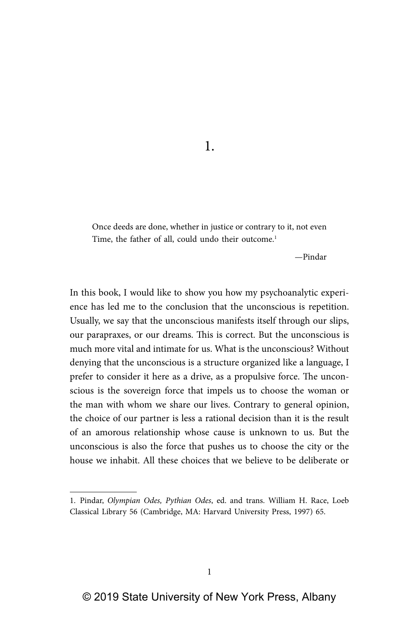1.

Once deeds are done, whether in justice or contrary to it, not even Time, the father of all, could undo their outcome.<sup>1</sup>

—Pindar

In this book, I would like to show you how my psychoanalytic experience has led me to the conclusion that the unconscious is repetition. Usually, we say that the unconscious manifests itself through our slips, our parapraxes, or our dreams. This is correct. But the unconscious is much more vital and intimate for us. What is the unconscious? Without denying that the unconscious is a structure organized like a language, I prefer to consider it here as a drive, as a propulsive force. The unconscious is the sovereign force that impels us to choose the woman or the man with whom we share our lives. Contrary to general opinion, the choice of our partner is less a rational decision than it is the result of an amorous relationship whose cause is unknown to us. But the unconscious is also the force that pushes us to choose the city or the house we inhabit. All these choices that we believe to be deliberate or

<sup>1.</sup> Pindar, Olympian Odes, Pythian Odes, ed. and trans. William H. Race, Loeb Classical Library 56 (Cambridge, MA: Harvard University Press, 1997) 65.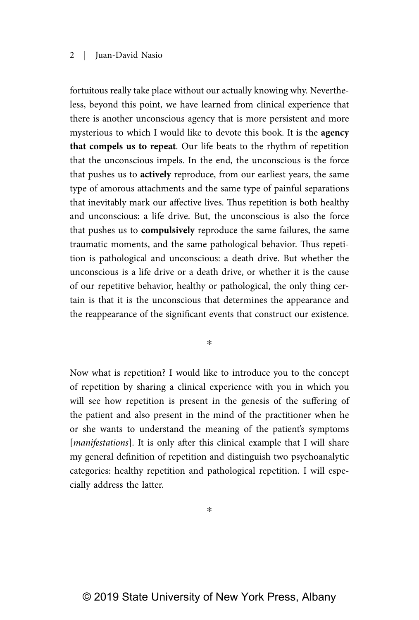fortuitous really take place without our actually knowing why. Nevertheless, beyond this point, we have learned from clinical experience that there is another unconscious agency that is more persistent and more mysterious to which I would like to devote this book. It is the **agency that compels us to repeat**. Our life beats to the rhythm of repetition that the unconscious impels. In the end, the unconscious is the force that pushes us to **actively** reproduce, from our earliest years, the same type of amorous attachments and the same type of painful separations that inevitably mark our affective lives. Thus repetition is both healthy and unconscious: a life drive. But, the unconscious is also the force that pushes us to **compulsively** reproduce the same failures, the same traumatic moments, and the same pathological behavior. Thus repetition is pathological and unconscious: a death drive. But whether the unconscious is a life drive or a death drive, or whether it is the cause of our repetitive behavior, healthy or pathological, the only thing certain is that it is the unconscious that determines the appearance and the reappearance of the significant events that construct our existence.

\*

Now what is repetition? I would like to introduce you to the concept of repetition by sharing a clinical experience with you in which you will see how repetition is present in the genesis of the suffering of the patient and also present in the mind of the practitioner when he or she wants to understand the meaning of the patient's symptoms [*manifestations*]. It is only after this clinical example that I will share my general definition of repetition and distinguish two psychoanalytic categories: healthy repetition and pathological repetition. I will especially address the latter.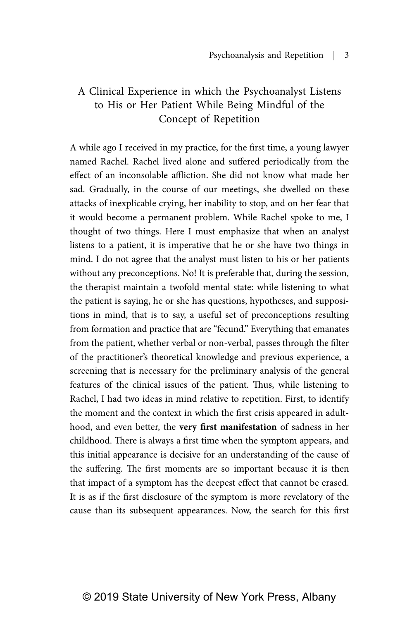# A Clinical Experience in which the Psychoanalyst Listens to His or Her Patient While Being Mindful of the Concept of Repetition

A while ago I received in my practice, for the first time, a young lawyer named Rachel. Rachel lived alone and suffered periodically from the effect of an inconsolable affliction. She did not know what made her sad. Gradually, in the course of our meetings, she dwelled on these attacks of inexplicable crying, her inability to stop, and on her fear that it would become a permanent problem. While Rachel spoke to me, I thought of two things. Here I must emphasize that when an analyst listens to a patient, it is imperative that he or she have two things in mind. I do not agree that the analyst must listen to his or her patients without any preconceptions. No! It is preferable that, during the session, the therapist maintain a twofold mental state: while listening to what the patient is saying, he or she has questions, hypotheses, and suppositions in mind, that is to say, a useful set of preconceptions resulting from formation and practice that are "fecund." Everything that emanates from the patient, whether verbal or non-verbal, passes through the filter of the practitioner's theoretical knowledge and previous experience, a screening that is necessary for the preliminary analysis of the general features of the clinical issues of the patient. Thus, while listening to Rachel, I had two ideas in mind relative to repetition. First, to identify the moment and the context in which the first crisis appeared in adulthood, and even better, the **very first manifestation** of sadness in her childhood. There is always a first time when the symptom appears, and this initial appearance is decisive for an understanding of the cause of the suffering. The first moments are so important because it is then that impact of a symptom has the deepest effect that cannot be erased. It is as if the first disclosure of the symptom is more revelatory of the cause than its subsequent appearances. Now, the search for this first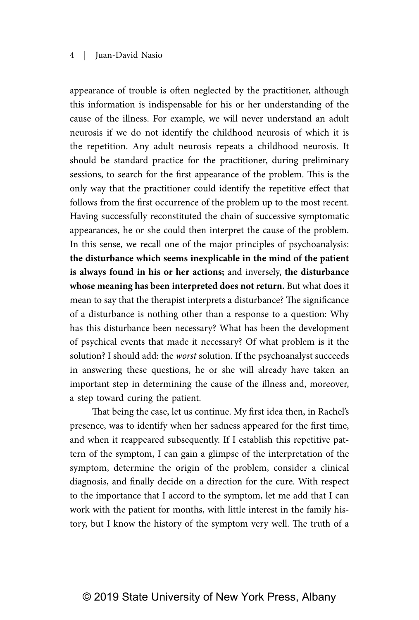appearance of trouble is often neglected by the practitioner, although this information is indispensable for his or her understanding of the cause of the illness. For example, we will never understand an adult neurosis if we do not identify the childhood neurosis of which it is the repetition. Any adult neurosis repeats a childhood neurosis. It should be standard practice for the practitioner, during preliminary sessions, to search for the first appearance of the problem. This is the only way that the practitioner could identify the repetitive effect that follows from the first occurrence of the problem up to the most recent. Having successfully reconstituted the chain of successive symptomatic appearances, he or she could then interpret the cause of the problem. In this sense, we recall one of the major principles of psychoanalysis: **the disturbance which seems inexplicable in the mind of the patient is always found in his or her actions;** and inversely, **the disturbance whose meaning has been interpreted does not return.** But what does it mean to say that the therapist interprets a disturbance? The significance of a disturbance is nothing other than a response to a question: Why has this disturbance been necessary? What has been the development of psychical events that made it necessary? Of what problem is it the solution? I should add: the worst solution. If the psychoanalyst succeeds in answering these questions, he or she will already have taken an important step in determining the cause of the illness and, moreover, a step toward curing the patient.

That being the case, let us continue. My first idea then, in Rachel's presence, was to identify when her sadness appeared for the first time, and when it reappeared subsequently. If I establish this repetitive pattern of the symptom, I can gain a glimpse of the interpretation of the symptom, determine the origin of the problem, consider a clinical diagnosis, and finally decide on a direction for the cure. With respect to the importance that I accord to the symptom, let me add that I can work with the patient for months, with little interest in the family history, but I know the history of the symptom very well. The truth of a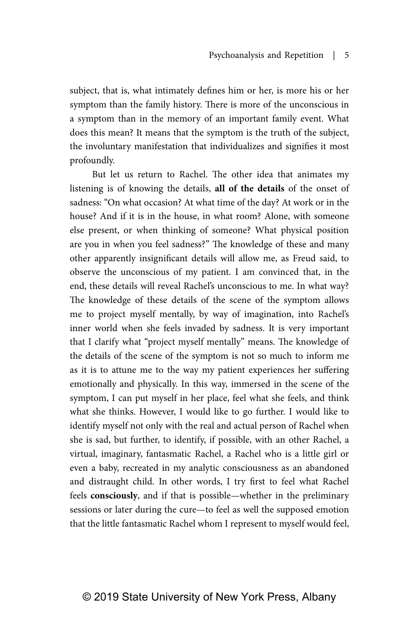subject, that is, what intimately defines him or her, is more his or her symptom than the family history. There is more of the unconscious in a symptom than in the memory of an important family event. What does this mean? It means that the symptom is the truth of the subject, the involuntary manifestation that individualizes and signifies it most profoundly.

But let us return to Rachel. The other idea that animates my listening is of knowing the details, **all of the details** of the onset of sadness: "On what occasion? At what time of the day? At work or in the house? And if it is in the house, in what room? Alone, with someone else present, or when thinking of someone? What physical position are you in when you feel sadness?" The knowledge of these and many other apparently insignificant details will allow me, as Freud said, to observe the unconscious of my patient. I am convinced that, in the end, these details will reveal Rachel's unconscious to me. In what way? The knowledge of these details of the scene of the symptom allows me to project myself mentally, by way of imagination, into Rachel's inner world when she feels invaded by sadness. It is very important that I clarify what "project myself mentally" means. The knowledge of the details of the scene of the symptom is not so much to inform me as it is to attune me to the way my patient experiences her suffering emotionally and physically. In this way, immersed in the scene of the symptom, I can put myself in her place, feel what she feels, and think what she thinks. However, I would like to go further. I would like to identify myself not only with the real and actual person of Rachel when she is sad, but further, to identify, if possible, with an other Rachel, a virtual, imaginary, fantasmatic Rachel, a Rachel who is a little girl or even a baby, recreated in my analytic consciousness as an abandoned and distraught child. In other words, I try first to feel what Rachel feels **consciously**, and if that is possible—whether in the preliminary sessions or later during the cure—to feel as well the supposed emotion that the little fantasmatic Rachel whom I represent to myself would feel,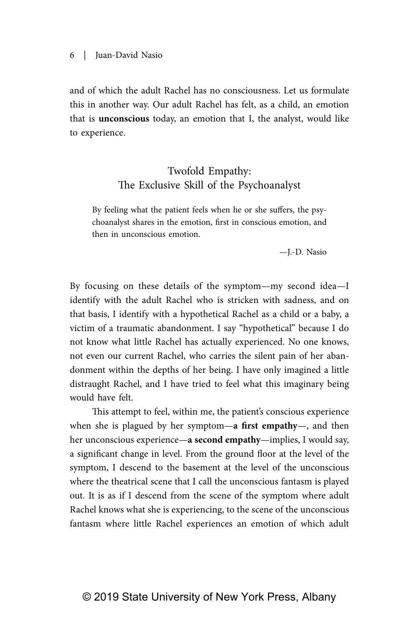and of which the adult Rachel has no consciousness. Let us formulate this in another way. Our adult Rachel has felt, as a child, an emotion that is **unconscious** today, an emotion that I, the analyst, would like to experience.

## Twofold Empathy: The Exclusive Skill of the Psychoanalyst

By feeling what the patient feels when he or she suffers, the psychoanalyst shares in the emotion, first in conscious emotion, and then in unconscious emotion.

—J.-D. Nasio

By focusing on these details of the symptom—my second idea—I identify with the adult Rachel who is stricken with sadness, and on that basis, I identify with a hypothetical Rachel as a child or a baby, a victim of a traumatic abandonment. I say "hypothetical" because I do not know what little Rachel has actually experienced. No one knows, not even our current Rachel, who carries the silent pain of her abandonment within the depths of her being. I have only imagined a little distraught Rachel, and I have tried to feel what this imaginary being would have felt.

This attempt to feel, within me, the patient's conscious experience when she is plagued by her symptom—**a first empathy**—, and then her unconscious experience—**a second empathy**—implies, I would say, a significant change in level. From the ground floor at the level of the symptom, I descend to the basement at the level of the unconscious where the theatrical scene that I call the unconscious fantasm is played out. It is as if I descend from the scene of the symptom where adult Rachel knows what she is experiencing, to the scene of the unconscious fantasm where little Rachel experiences an emotion of which adult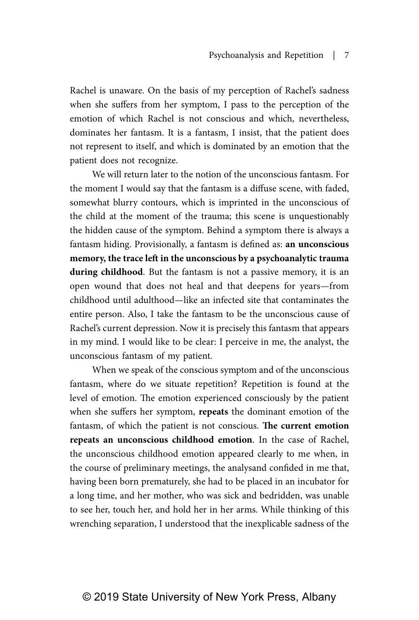Rachel is unaware. On the basis of my perception of Rachel's sadness when she suffers from her symptom, I pass to the perception of the emotion of which Rachel is not conscious and which, nevertheless, dominates her fantasm. It is a fantasm, I insist, that the patient does not represent to itself, and which is dominated by an emotion that the patient does not recognize.

We will return later to the notion of the unconscious fantasm. For the moment I would say that the fantasm is a diffuse scene, with faded, somewhat blurry contours, which is imprinted in the unconscious of the child at the moment of the trauma; this scene is unquestionably the hidden cause of the symptom. Behind a symptom there is always a fantasm hiding. Provisionally, a fantasm is defined as: **an unconscious memory, the trace left in the unconscious by a psychoanalytic trauma**  during childhood. But the fantasm is not a passive memory, it is an open wound that does not heal and that deepens for years—from childhood until adulthood—like an infected site that contaminates the entire person. Also, I take the fantasm to be the unconscious cause of Rachel's current depression. Now it is precisely this fantasm that appears in my mind. I would like to be clear: I perceive in me, the analyst, the unconscious fantasm of my patient.

When we speak of the conscious symptom and of the unconscious fantasm, where do we situate repetition? Repetition is found at the level of emotion. The emotion experienced consciously by the patient when she suffers her symptom, **repeats** the dominant emotion of the fantasm, of which the patient is not conscious. **The current emotion repeats an unconscious childhood emotion**. In the case of Rachel, the unconscious childhood emotion appeared clearly to me when, in the course of preliminary meetings, the analysand confided in me that, having been born prematurely, she had to be placed in an incubator for a long time, and her mother, who was sick and bedridden, was unable to see her, touch her, and hold her in her arms. While thinking of this wrenching separation, I understood that the inexplicable sadness of the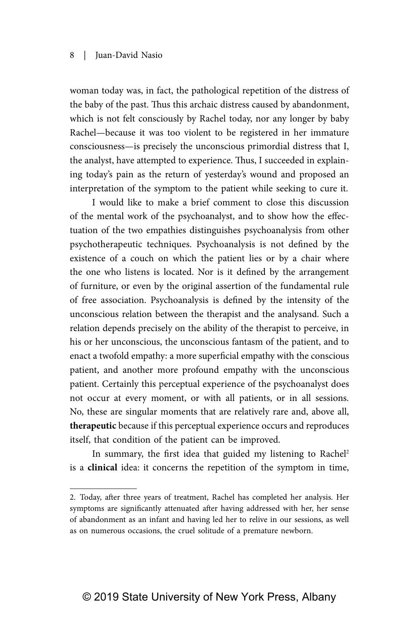woman today was, in fact, the pathological repetition of the distress of the baby of the past. Thus this archaic distress caused by abandonment, which is not felt consciously by Rachel today, nor any longer by baby Rachel—because it was too violent to be registered in her immature consciousness—is precisely the unconscious primordial distress that I, the analyst, have attempted to experience. Thus, I succeeded in explaining today's pain as the return of yesterday's wound and proposed an interpretation of the symptom to the patient while seeking to cure it.

I would like to make a brief comment to close this discussion of the mental work of the psychoanalyst, and to show how the effectuation of the two empathies distinguishes psychoanalysis from other psychotherapeutic techniques. Psychoanalysis is not defined by the existence of a couch on which the patient lies or by a chair where the one who listens is located. Nor is it defined by the arrangement of furniture, or even by the original assertion of the fundamental rule of free association. Psychoanalysis is defined by the intensity of the unconscious relation between the therapist and the analysand. Such a relation depends precisely on the ability of the therapist to perceive, in his or her unconscious, the unconscious fantasm of the patient, and to enact a twofold empathy: a more superficial empathy with the conscious patient, and another more profound empathy with the unconscious patient. Certainly this perceptual experience of the psychoanalyst does not occur at every moment, or with all patients, or in all sessions. No, these are singular moments that are relatively rare and, above all, **therapeutic** because if this perceptual experience occurs and reproduces itself, that condition of the patient can be improved.

In summary, the first idea that guided my listening to Rachel<sup>2</sup> is a **clinical** idea: it concerns the repetition of the symptom in time,

<sup>2.</sup> Today, after three years of treatment, Rachel has completed her analysis. Her symptoms are significantly attenuated after having addressed with her, her sense of abandonment as an infant and having led her to relive in our sessions, as well as on numerous occasions, the cruel solitude of a premature newborn.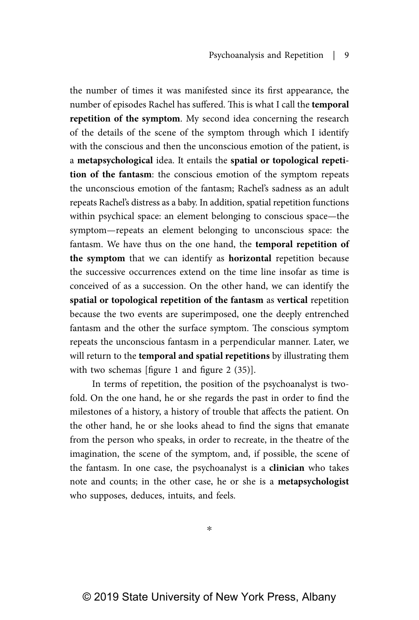the number of times it was manifested since its first appearance, the number of episodes Rachel has suffered. This is what I call the **temporal repetition of the symptom**. My second idea concerning the research of the details of the scene of the symptom through which I identify with the conscious and then the unconscious emotion of the patient, is a **metapsychological** idea. It entails the **spatial or topological repetition of the fantasm**: the conscious emotion of the symptom repeats the unconscious emotion of the fantasm; Rachel's sadness as an adult repeats Rachel's distress as a baby. In addition, spatial repetition functions within psychical space: an element belonging to conscious space—the symptom—repeats an element belonging to unconscious space: the fantasm. We have thus on the one hand, the **temporal repetition of the symptom** that we can identify as **horizontal** repetition because the successive occurrences extend on the time line insofar as time is conceived of as a succession. On the other hand, we can identify the **spatial or topological repetition of the fantasm** as **vertical** repetition because the two events are superimposed, one the deeply entrenched fantasm and the other the surface symptom. The conscious symptom repeats the unconscious fantasm in a perpendicular manner. Later, we will return to the **temporal and spatial repetitions** by illustrating them with two schemas [figure 1 and figure 2 (35)].

In terms of repetition, the position of the psychoanalyst is twofold. On the one hand, he or she regards the past in order to find the milestones of a history, a history of trouble that affects the patient. On the other hand, he or she looks ahead to find the signs that emanate from the person who speaks, in order to recreate, in the theatre of the imagination, the scene of the symptom, and, if possible, the scene of the fantasm. In one case, the psychoanalyst is a **clinician** who takes note and counts; in the other case, he or she is a **metapsychologist** who supposes, deduces, intuits, and feels.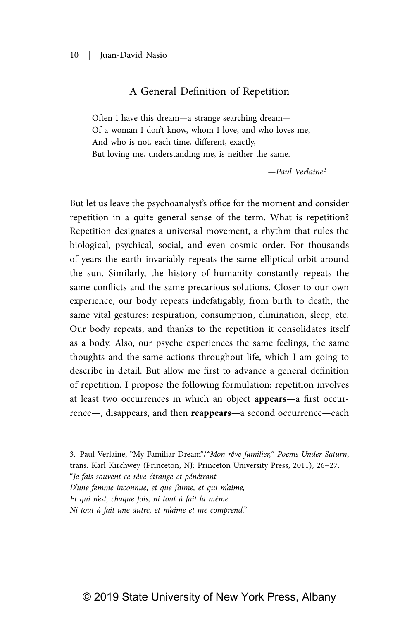### A General Definition of Repetition

Often I have this dream— a strange searching dream— Of a woman I don't know, whom I love, and who loves me, And who is not, each time, different, exactly, But loving me, understanding me, is neither the same.

—Paul Verlaine <sup>3</sup>

But let us leave the psychoanalyst's office for the moment and consider repetition in a quite general sense of the term. What is repetition? Repetition designates a universal movement, a rhythm that rules the biological, psychical, social, and even cosmic order. For thousands of years the earth invariably repeats the same elliptical orbit around the sun. Similarly, the history of humanity constantly repeats the same conflicts and the same precarious solutions. Closer to our own experience, our body repeats indefatigably, from birth to death, the same vital gestures: respiration, consumption, elimination, sleep, etc. Our body repeats, and thanks to the repetition it consolidates itself as a body. Also, our psyche experiences the same feelings, the same thoughts and the same actions throughout life, which I am going to describe in detail. But allow me first to advance a general definition of repetition. I propose the following formulation: repetition involves at least two occurrences in which an object **appears**—a first occurrence—, disappears, and then **reappears**—a second occurrence—each

"Je fais souvent ce rêve étrange et pénétrant

<sup>3.</sup> Paul Verlaine, "My Familiar Dream"/"Mon rêve familier," Poems Under Saturn, trans. Karl Kirchwey (Princeton, NJ: Princeton University Press, 2011), 26−27.

D'une femme inconnue, et que j'aime, et qui m'aime,

Et qui n'est, chaque fois, ni tout à fait la même

Ni tout à fait une autre, et m'aime et me comprend."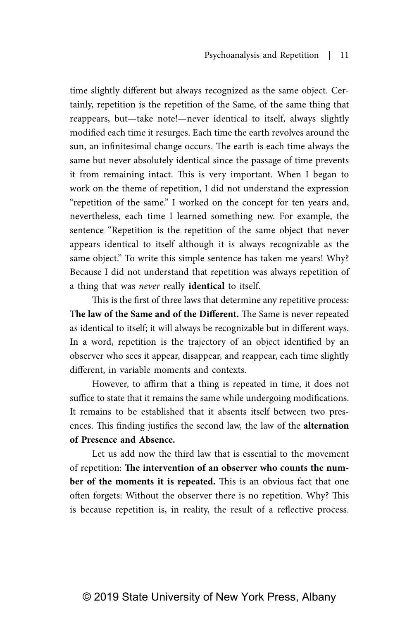time slightly different but always recognized as the same object. Certainly, repetition is the repetition of the Same, of the same thing that reappears, but—take note!—never identical to itself, always slightly modified each time it resurges. Each time the earth revolves around the sun, an infinitesimal change occurs. The earth is each time always the same but never absolutely identical since the passage of time prevents it from remaining intact. This is very important. When I began to work on the theme of repetition, I did not understand the expression "repetition of the same." I worked on the concept for ten years and, nevertheless, each time I learned something new. For example, the sentence "Repetition is the repetition of the same object that never appears identical to itself although it is always recognizable as the same object." To write this simple sentence has taken me years! Why? Because I did not understand that repetition was always repetition of a thing that was never really **identical** to itself.

This is the first of three laws that determine any repetitive process: T**he law of the Same and of the Different.** The Same is never repeated as identical to itself; it will always be recognizable but in different ways. In a word, repetition is the trajectory of an object identified by an observer who sees it appear, disappear, and reappear, each time slightly different, in variable moments and contexts.

However, to affirm that a thing is repeated in time, it does not suffice to state that it remains the same while undergoing modifications. It remains to be established that it absents itself between two presences. This finding justifies the second law, the law of the **alternation of Presence and Absence.**

Let us add now the third law that is essential to the movement of repetition: **The intervention of an observer who counts the number of the moments it is repeated.** This is an obvious fact that one often forgets: Without the observer there is no repetition. Why? This is because repetition is, in reality, the result of a reflective process.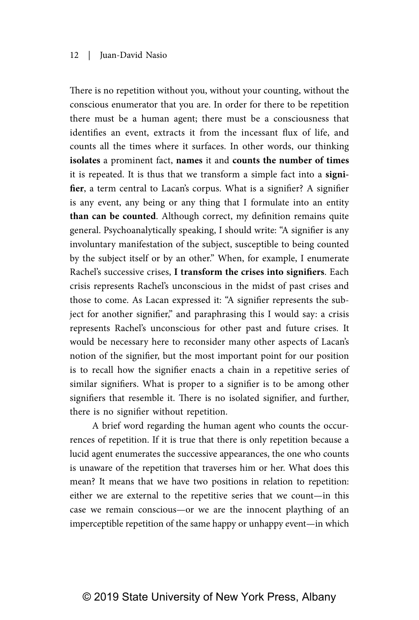There is no repetition without you, without your counting, without the conscious enumerator that you are. In order for there to be repetition there must be a human agent; there must be a consciousness that identifies an event, extracts it from the incessant flux of life, and counts all the times where it surfaces. In other words, our thinking **isolates** a prominent fact, **names** it and **counts the number of times** it is repeated. It is thus that we transform a simple fact into a **signifier**, a term central to Lacan's corpus. What is a signifier? A signifier is any event, any being or any thing that I formulate into an entity **than can be counted**. Although correct, my definition remains quite general. Psychoanalytically speaking, I should write: "A signifier is any involuntary manifestation of the subject, susceptible to being counted by the subject itself or by an other." When, for example, I enumerate Rachel's successive crises, **I transform the crises into signifiers**. Each crisis represents Rachel's unconscious in the midst of past crises and those to come. As Lacan expressed it: "A signifier represents the subject for another signifier," and paraphrasing this I would say: a crisis represents Rachel's unconscious for other past and future crises. It would be necessary here to reconsider many other aspects of Lacan's notion of the signifier, but the most important point for our position is to recall how the signifier enacts a chain in a repetitive series of similar signifiers. What is proper to a signifier is to be among other signifiers that resemble it. There is no isolated signifier, and further, there is no signifier without repetition.

A brief word regarding the human agent who counts the occurrences of repetition. If it is true that there is only repetition because a lucid agent enumerates the successive appearances, the one who counts is unaware of the repetition that traverses him or her. What does this mean? It means that we have two positions in relation to repetition: either we are external to the repetitive series that we count—in this case we remain conscious—or we are the innocent plaything of an imperceptible repetition of the same happy or unhappy event—in which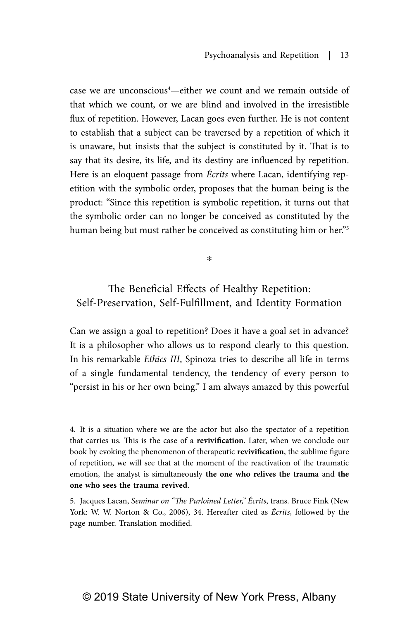case we are unconscious<sup>4</sup>—either we count and we remain outside of that which we count, or we are blind and involved in the irresistible flux of repetition. However, Lacan goes even further. He is not content to establish that a subject can be traversed by a repetition of which it is unaware, but insists that the subject is constituted by it. That is to say that its desire, its life, and its destiny are influenced by repetition. Here is an eloquent passage from *Écrits* where Lacan, identifying repetition with the symbolic order, proposes that the human being is the product: "Since this repetition is symbolic repetition, it turns out that the symbolic order can no longer be conceived as constituted by the human being but must rather be conceived as constituting him or her."<sup>5</sup>

\*

## The Beneficial Effects of Healthy Repetition: Self-Preservation, Self-Fulfillment, and Identity Formation

Can we assign a goal to repetition? Does it have a goal set in advance? It is a philosopher who allows us to respond clearly to this question. In his remarkable Ethics III, Spinoza tries to describe all life in terms of a single fundamental tendency, the tendency of every person to "persist in his or her own being." I am always amazed by this powerful

<sup>4.</sup> It is a situation where we are the actor but also the spectator of a repetition that carries us. This is the case of a **revivification**. Later, when we conclude our book by evoking the phenomenon of therapeutic **revivification**, the sublime figure of repetition, we will see that at the moment of the reactivation of the traumatic emotion, the analyst is simultaneously **the one who relives the trauma** and **the one who sees the trauma revived**.

<sup>5.</sup> Jacques Lacan, Seminar on "The Purloined Letter," Écrits, trans. Bruce Fink (New York: W. W. Norton & Co., 2006), 34. Hereafter cited as Écrits, followed by the page number. Translation modified.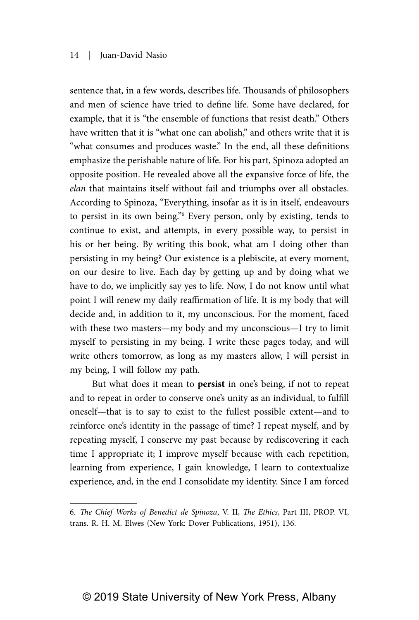sentence that, in a few words, describes life. Thousands of philosophers and men of science have tried to define life. Some have declared, for example, that it is "the ensemble of functions that resist death." Others have written that it is "what one can abolish," and others write that it is "what consumes and produces waste." In the end, all these definitions emphasize the perishable nature of life. For his part, Spinoza adopted an opposite position. He revealed above all the expansive force of life, the elan that maintains itself without fail and triumphs over all obstacles. According to Spinoza, "Everything, insofar as it is in itself, endeavours to persist in its own being."6 Every person, only by existing, tends to continue to exist, and attempts, in every possible way, to persist in his or her being. By writing this book, what am I doing other than persisting in my being? Our existence is a plebiscite, at every moment, on our desire to live. Each day by getting up and by doing what we have to do, we implicitly say yes to life. Now, I do not know until what point I will renew my daily reaffirmation of life. It is my body that will decide and, in addition to it, my unconscious. For the moment, faced with these two masters—my body and my unconscious—I try to limit myself to persisting in my being. I write these pages today, and will write others tomorrow, as long as my masters allow, I will persist in my being, I will follow my path.

But what does it mean to **persist** in one's being, if not to repeat and to repeat in order to conserve one's unity as an individual, to fulfill oneself—that is to say to exist to the fullest possible extent—and to reinforce one's identity in the passage of time? I repeat myself, and by repeating myself, I conserve my past because by rediscovering it each time I appropriate it; I improve myself because with each repetition, learning from experience, I gain knowledge, I learn to contextualize experience, and, in the end I consolidate my identity. Since I am forced

<sup>6.</sup> The Chief Works of Benedict de Spinoza, V. II, The Ethics, Part III, PROP. VI, trans. R. H. M. Elwes (New York: Dover Publications, 1951), 136.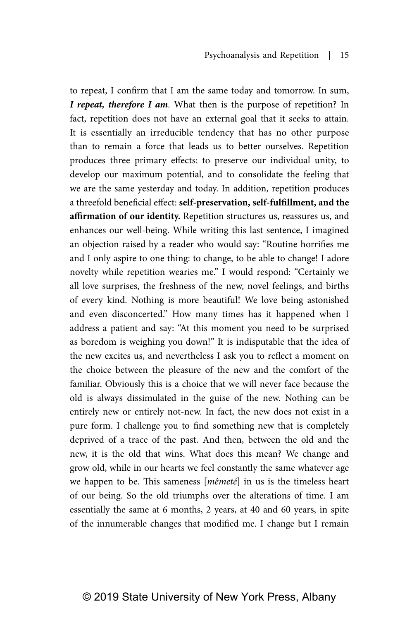to repeat, I confirm that I am the same today and tomorrow. In sum, **I repeat, therefore I am**. What then is the purpose of repetition? In fact, repetition does not have an external goal that it seeks to attain. It is essentially an irreducible tendency that has no other purpose than to remain a force that leads us to better ourselves. Repetition produces three primary effects: to preserve our individual unity, to develop our maximum potential, and to consolidate the feeling that we are the same yesterday and today. In addition, repetition produces a threefold beneficial effect: **self-preservation, self-fulfillment, and the affirmation of our identity.** Repetition structures us, reassures us, and enhances our well-being. While writing this last sentence, I imagined an objection raised by a reader who would say: "Routine horrifies me and I only aspire to one thing: to change, to be able to change! I adore novelty while repetition wearies me." I would respond: "Certainly we all love surprises, the freshness of the new, novel feelings, and births of every kind. Nothing is more beautiful! We love being astonished and even disconcerted." How many times has it happened when I address a patient and say: "At this moment you need to be surprised as boredom is weighing you down!" It is indisputable that the idea of the new excites us, and nevertheless I ask you to reflect a moment on the choice between the pleasure of the new and the comfort of the familiar. Obviously this is a choice that we will never face because the old is always dissimulated in the guise of the new. Nothing can be entirely new or entirely not-new. In fact, the new does not exist in a pure form. I challenge you to find something new that is completely deprived of a trace of the past. And then, between the old and the new, it is the old that wins. What does this mean? We change and grow old, while in our hearts we feel constantly the same whatever age we happen to be. This sameness [*mêmeté*] in us is the timeless heart of our being. So the old triumphs over the alterations of time. I am essentially the same at 6 months, 2 years, at 40 and 60 years, in spite of the innumerable changes that modified me. I change but I remain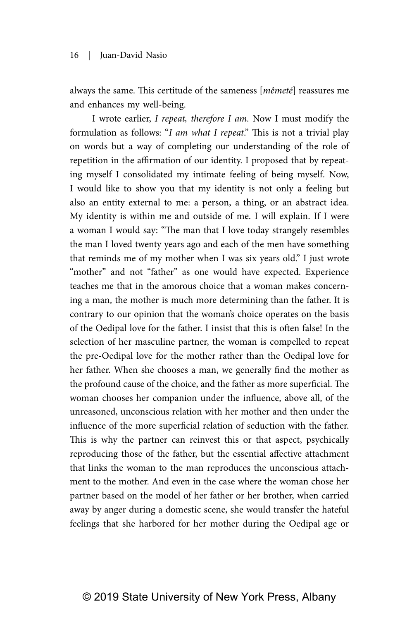always the same. This certitude of the sameness [*mêmeté*] reassures me and enhances my well-being.

I wrote earlier, I repeat, therefore I am. Now I must modify the formulation as follows: "I am what I repeat." This is not a trivial play on words but a way of completing our understanding of the role of repetition in the affirmation of our identity. I proposed that by repeating myself I consolidated my intimate feeling of being myself. Now, I would like to show you that my identity is not only a feeling but also an entity external to me: a person, a thing, or an abstract idea. My identity is within me and outside of me. I will explain. If I were a woman I would say: "The man that I love today strangely resembles the man I loved twenty years ago and each of the men have something that reminds me of my mother when I was six years old." I just wrote "mother" and not "father" as one would have expected. Experience teaches me that in the amorous choice that a woman makes concerning a man, the mother is much more determining than the father. It is contrary to our opinion that the woman's choice operates on the basis of the Oedipal love for the father. I insist that this is often false! In the selection of her masculine partner, the woman is compelled to repeat the pre-Oedipal love for the mother rather than the Oedipal love for her father. When she chooses a man, we generally find the mother as the profound cause of the choice, and the father as more superficial. The woman chooses her companion under the influence, above all, of the unreasoned, unconscious relation with her mother and then under the influence of the more superficial relation of seduction with the father. This is why the partner can reinvest this or that aspect, psychically reproducing those of the father, but the essential affective attachment that links the woman to the man reproduces the unconscious attachment to the mother. And even in the case where the woman chose her partner based on the model of her father or her brother, when carried away by anger during a domestic scene, she would transfer the hateful feelings that she harbored for her mother during the Oedipal age or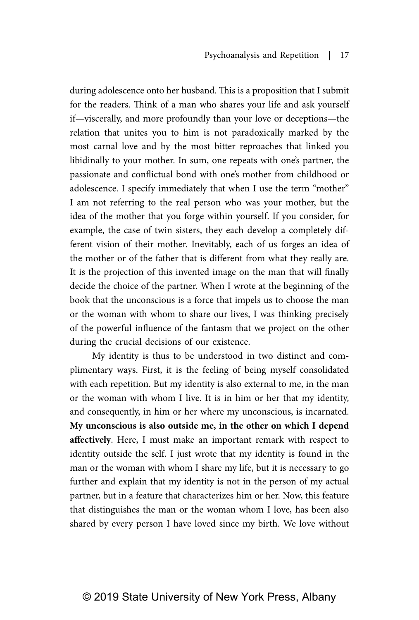during adolescence onto her husband. This is a proposition that I submit for the readers. Think of a man who shares your life and ask yourself if—viscerally, and more profoundly than your love or deceptions—the relation that unites you to him is not paradoxically marked by the most carnal love and by the most bitter reproaches that linked you libidinally to your mother. In sum, one repeats with one's partner, the passionate and conflictual bond with one's mother from childhood or adolescence. I specify immediately that when I use the term "mother" I am not referring to the real person who was your mother, but the idea of the mother that you forge within yourself. If you consider, for example, the case of twin sisters, they each develop a completely different vision of their mother. Inevitably, each of us forges an idea of the mother or of the father that is different from what they really are. It is the projection of this invented image on the man that will finally decide the choice of the partner. When I wrote at the beginning of the book that the unconscious is a force that impels us to choose the man or the woman with whom to share our lives, I was thinking precisely of the powerful influence of the fantasm that we project on the other during the crucial decisions of our existence.

My identity is thus to be understood in two distinct and complimentary ways. First, it is the feeling of being myself consolidated with each repetition. But my identity is also external to me, in the man or the woman with whom I live. It is in him or her that my identity, and consequently, in him or her where my unconscious, is incarnated. **My unconscious is also outside me, in the other on which I depend affectively**. Here, I must make an important remark with respect to identity outside the self. I just wrote that my identity is found in the man or the woman with whom I share my life, but it is necessary to go further and explain that my identity is not in the person of my actual partner, but in a feature that characterizes him or her. Now, this feature that distinguishes the man or the woman whom I love, has been also shared by every person I have loved since my birth. We love without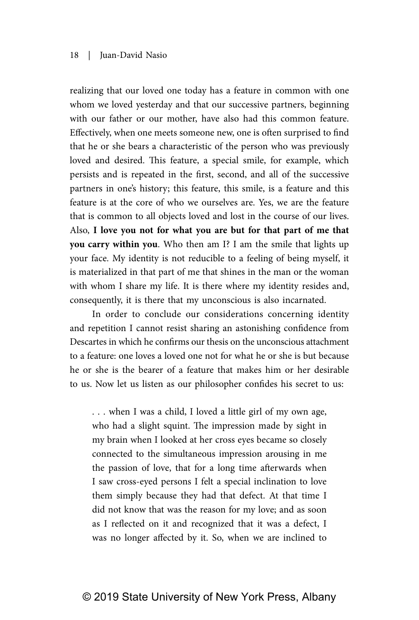realizing that our loved one today has a feature in common with one whom we loved yesterday and that our successive partners, beginning with our father or our mother, have also had this common feature. Effectively, when one meets someone new, one is often surprised to find that he or she bears a characteristic of the person who was previously loved and desired. This feature, a special smile, for example, which persists and is repeated in the first, second, and all of the successive partners in one's history; this feature, this smile, is a feature and this feature is at the core of who we ourselves are. Yes, we are the feature that is common to all objects loved and lost in the course of our lives. Also, **I love you not for what you are but for that part of me that you carry within you**. Who then am I? I am the smile that lights up your face. My identity is not reducible to a feeling of being myself, it is materialized in that part of me that shines in the man or the woman with whom I share my life. It is there where my identity resides and, consequently, it is there that my unconscious is also incarnated.

In order to conclude our considerations concerning identity and repetition I cannot resist sharing an astonishing confidence from Descartes in which he confirms our thesis on the unconscious attachment to a feature: one loves a loved one not for what he or she is but because he or she is the bearer of a feature that makes him or her desirable to us. Now let us listen as our philosopher confides his secret to us:

. . . when I was a child, I loved a little girl of my own age, who had a slight squint. The impression made by sight in my brain when I looked at her cross eyes became so closely connected to the simultaneous impression arousing in me the passion of love, that for a long time afterwards when I saw cross-eyed persons I felt a special inclination to love them simply because they had that defect. At that time I did not know that was the reason for my love; and as soon as I reflected on it and recognized that it was a defect, I was no longer affected by it. So, when we are inclined to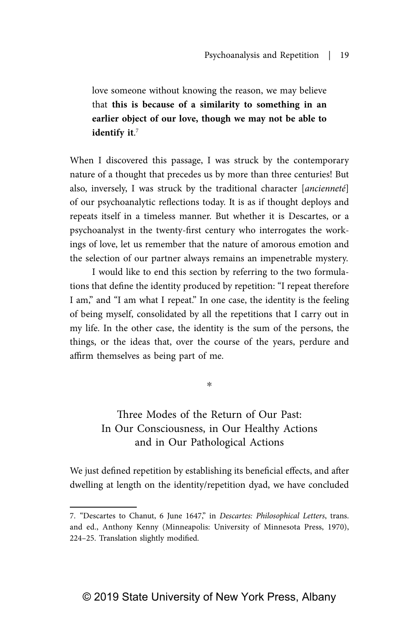love someone without knowing the reason, we may believe that **this is because of a similarity to something in an earlier object of our love, though we may not be able to identify it**. 7

When I discovered this passage, I was struck by the contemporary nature of a thought that precedes us by more than three centuries! But also, inversely, I was struck by the traditional character [ancienneté] of our psychoanalytic reflections today. It is as if thought deploys and repeats itself in a timeless manner. But whether it is Descartes, or a psychoanalyst in the twenty-first century who interrogates the workings of love, let us remember that the nature of amorous emotion and the selection of our partner always remains an impenetrable mystery.

I would like to end this section by referring to the two formulations that define the identity produced by repetition: "I repeat therefore I am," and "I am what I repeat." In one case, the identity is the feeling of being myself, consolidated by all the repetitions that I carry out in my life. In the other case, the identity is the sum of the persons, the things, or the ideas that, over the course of the years, perdure and affirm themselves as being part of me.

\*

# Three Modes of the Return of Our Past: In Our Consciousness, in Our Healthy Actions and in Our Pathological Actions

We just defined repetition by establishing its beneficial effects, and after dwelling at length on the identity/repetition dyad, we have concluded

<sup>7. &</sup>quot;Descartes to Chanut, 6 June 1647," in Descartes: Philosophical Letters, trans. and ed., Anthony Kenny (Minneapolis: University of Minnesota Press, 1970), 224–25. Translation slightly modified.